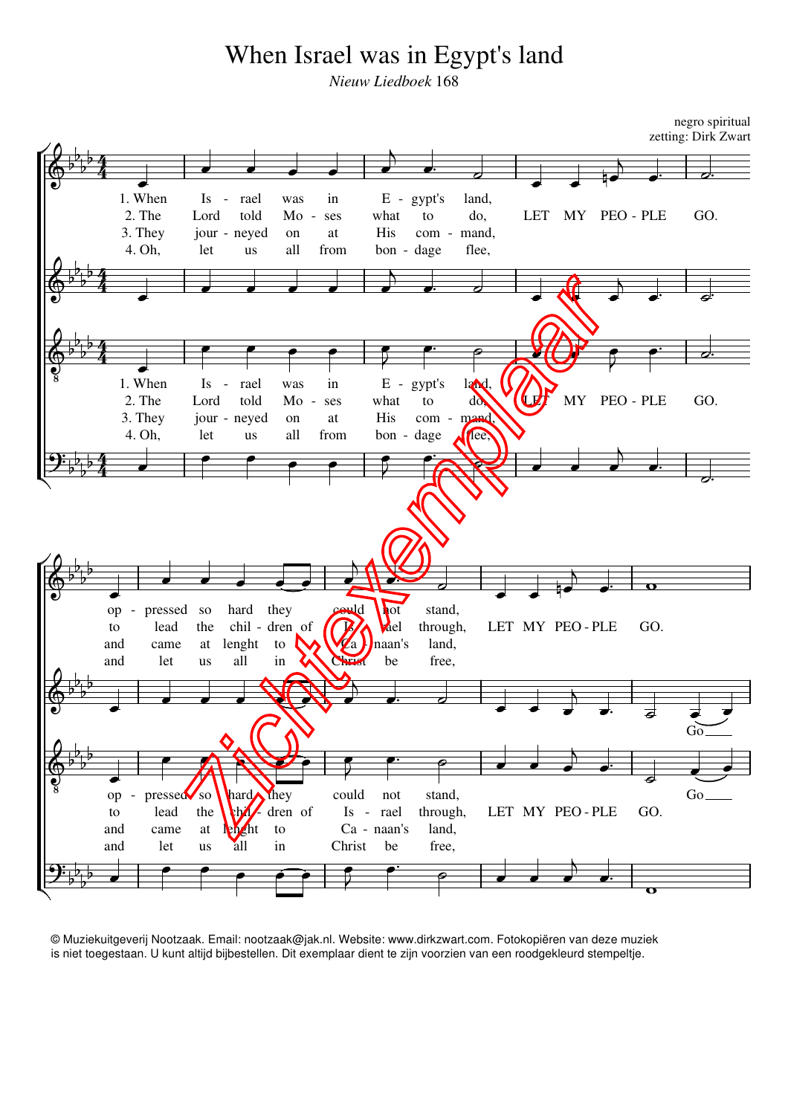## When Israel was in Egypt's land

*Nieuw Liedboek* 168

negro spiritual zetting: Dirk Zwart



© Muziekuitgeverij Nootzaak. Email: nootzaak@jak.nl. Website: www.dirkzwart.com. Fotokopiëren van deze muziek is niet toegestaan. U kunt altijd bijbestellen. Dit exemplaar dient te zijn voorzien van een roodgekleurd stempeltje.